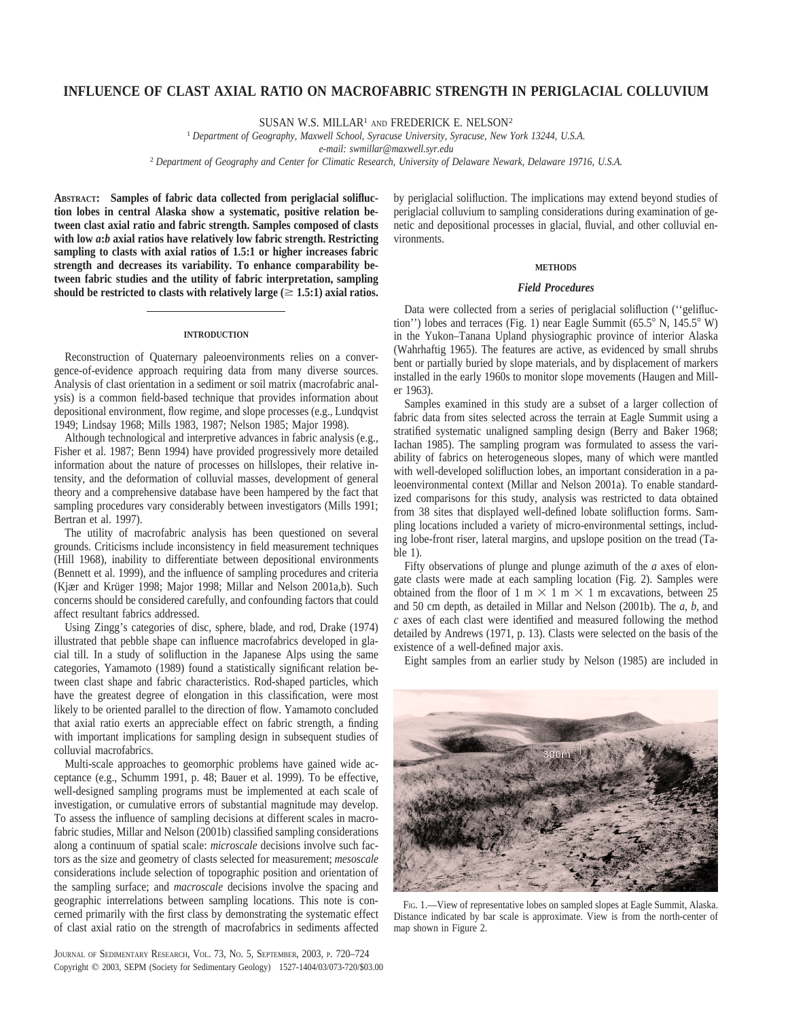# **INFLUENCE OF CLAST AXIAL RATIO ON MACROFABRIC STRENGTH IN PERIGLACIAL COLLUVIUM**

SUSAN W.S. MILLAR<sup>1</sup> AND FREDERICK E. NELSON<sup>2</sup>

<sup>1</sup> *Department of Geography, Maxwell School, Syracuse University, Syracuse, New York 13244, U.S.A.*

*e-mail: swmillar@maxwell.syr.edu*

<sup>2</sup> *Department of Geography and Center for Climatic Research, University of Delaware Newark, Delaware 19716, U.S.A.*

**ABSTRACT: Samples of fabric data collected from periglacial solifluction lobes in central Alaska show a systematic, positive relation between clast axial ratio and fabric strength. Samples composed of clasts with low** *a***:***b* **axial ratios have relatively low fabric strength. Restricting sampling to clasts with axial ratios of 1.5:1 or higher increases fabric strength and decreases its variability. To enhance comparability between fabric studies and the utility of fabric interpretation, sampling** should be restricted to clasts with relatively large  $(\geq 1.5:1)$  axial ratios.

## **INTRODUCTION**

Reconstruction of Quaternary paleoenvironments relies on a convergence-of-evidence approach requiring data from many diverse sources. Analysis of clast orientation in a sediment or soil matrix (macrofabric analysis) is a common field-based technique that provides information about depositional environment, flow regime, and slope processes (e.g., Lundqvist 1949; Lindsay 1968; Mills 1983, 1987; Nelson 1985; Major 1998).

Although technological and interpretive advances in fabric analysis (e.g., Fisher et al. 1987; Benn 1994) have provided progressively more detailed information about the nature of processes on hillslopes, their relative intensity, and the deformation of colluvial masses, development of general theory and a comprehensive database have been hampered by the fact that sampling procedures vary considerably between investigators (Mills 1991; Bertran et al. 1997).

The utility of macrofabric analysis has been questioned on several grounds. Criticisms include inconsistency in field measurement techniques (Hill 1968), inability to differentiate between depositional environments (Bennett et al. 1999), and the influence of sampling procedures and criteria (Kjær and Krüger 1998; Major 1998; Millar and Nelson 2001a,b). Such concerns should be considered carefully, and confounding factors that could affect resultant fabrics addressed.

Using Zingg's categories of disc, sphere, blade, and rod, Drake (1974) illustrated that pebble shape can influence macrofabrics developed in glacial till. In a study of solifluction in the Japanese Alps using the same categories, Yamamoto (1989) found a statistically significant relation between clast shape and fabric characteristics. Rod-shaped particles, which have the greatest degree of elongation in this classification, were most likely to be oriented parallel to the direction of flow. Yamamoto concluded that axial ratio exerts an appreciable effect on fabric strength, a finding with important implications for sampling design in subsequent studies of colluvial macrofabrics.

Multi-scale approaches to geomorphic problems have gained wide acceptance (e.g., Schumm 1991, p. 48; Bauer et al. 1999). To be effective, well-designed sampling programs must be implemented at each scale of investigation, or cumulative errors of substantial magnitude may develop. To assess the influence of sampling decisions at different scales in macrofabric studies, Millar and Nelson (2001b) classified sampling considerations along a continuum of spatial scale: *microscale* decisions involve such factors as the size and geometry of clasts selected for measurement; *mesoscale* considerations include selection of topographic position and orientation of the sampling surface; and *macroscale* decisions involve the spacing and geographic interrelations between sampling locations. This note is concerned primarily with the first class by demonstrating the systematic effect of clast axial ratio on the strength of macrofabrics in sediments affected

JOURNAL OF SEDIMENTARY RESEARCH, VOL. 73, NO. 5, SEPTEMBER, 2003, P. 720–724 Copyright  $\odot$  2003, SEPM (Society for Sedimentary Geology) 1527-1404/03/073-720/\$03.00 by periglacial solifluction. The implications may extend beyond studies of periglacial colluvium to sampling considerations during examination of genetic and depositional processes in glacial, fluvial, and other colluvial environments.

## **METHODS**

## *Field Procedures*

Data were collected from a series of periglacial solifluction (''gelifluction'') lobes and terraces (Fig. 1) near Eagle Summit ( $65.5^{\circ}$  N,  $145.5^{\circ}$  W) in the Yukon–Tanana Upland physiographic province of interior Alaska (Wahrhaftig 1965). The features are active, as evidenced by small shrubs bent or partially buried by slope materials, and by displacement of markers installed in the early 1960s to monitor slope movements (Haugen and Miller 1963).

Samples examined in this study are a subset of a larger collection of fabric data from sites selected across the terrain at Eagle Summit using a stratified systematic unaligned sampling design (Berry and Baker 1968; Iachan 1985). The sampling program was formulated to assess the variability of fabrics on heterogeneous slopes, many of which were mantled with well-developed solifluction lobes, an important consideration in a paleoenvironmental context (Millar and Nelson 2001a). To enable standardized comparisons for this study, analysis was restricted to data obtained from 38 sites that displayed well-defined lobate solifluction forms. Sampling locations included a variety of micro-environmental settings, including lobe-front riser, lateral margins, and upslope position on the tread (Table 1).

Fifty observations of plunge and plunge azimuth of the *a* axes of elongate clasts were made at each sampling location (Fig. 2). Samples were obtained from the floor of 1 m  $\times$  1 m  $\times$  1 m excavations, between 25 and 50 cm depth, as detailed in Millar and Nelson (2001b). The *a, b,* and *c* axes of each clast were identified and measured following the method detailed by Andrews (1971, p. 13). Clasts were selected on the basis of the existence of a well-defined major axis.

Eight samples from an earlier study by Nelson (1985) are included in



FIG. 1.—View of representative lobes on sampled slopes at Eagle Summit, Alaska. Distance indicated by bar scale is approximate. View is from the north-center of map shown in Figure 2.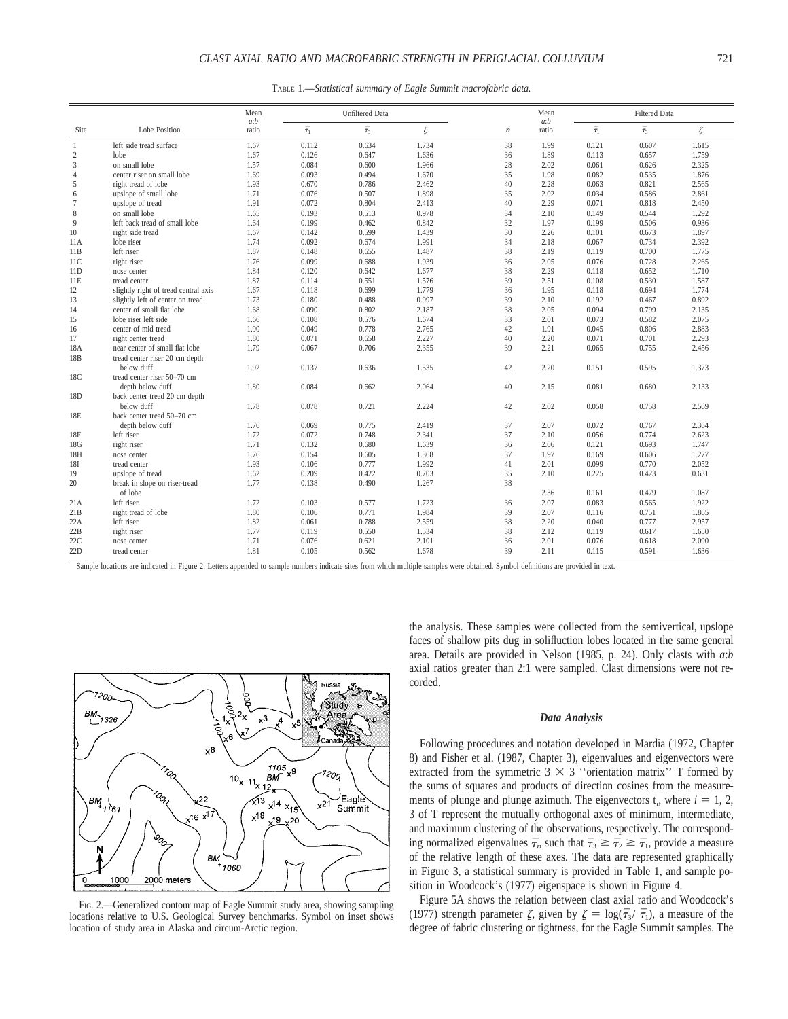TABLE 1.—*Statistical summary of Eagle Summit macrofabric data.*

|                 |                                      |              | <b>Unfiltered Data</b> |                |       |                  | Mean<br>a:b |                | <b>Filtered Data</b> |       |  |
|-----------------|--------------------------------------|--------------|------------------------|----------------|-------|------------------|-------------|----------------|----------------------|-------|--|
| Site            | Lobe Position                        | a:b<br>ratio | $\bar{\tau}_1$         | $\bar{\tau}_3$ | ζ     | $\boldsymbol{n}$ | ratio       | $\bar{\tau}_1$ | $\bar{\tau}_3$       | ζ     |  |
| $\mathbf{1}$    | left side tread surface              | 1.67         | 0.112                  | 0.634          | 1.734 | 38               | 1.99        | 0.121          | 0.607                | 1.615 |  |
| $\sqrt{2}$      | lobe                                 | 1.67         | 0.126                  | 0.647          | 1.636 | 36               | 1.89        | 0.113          | 0.657                | 1.759 |  |
| 3               | on small lobe                        | 1.57         | 0.084                  | 0.600          | 1.966 | 28               | 2.02        | 0.061          | 0.626                | 2.325 |  |
| $\overline{4}$  | center riser on small lobe           | 1.69         | 0.093                  | 0.494          | 1.670 | 35               | 1.98        | 0.082          | 0.535                | 1.876 |  |
| 5               | right tread of lobe                  | 1.93         | 0.670                  | 0.786          | 2.462 | 40               | 2.28        | 0.063          | 0.821                | 2.565 |  |
| 6               | upslope of small lobe                | 1.71         | 0.076                  | 0.507          | 1.898 | 35               | 2.02        | 0.034          | 0.586                | 2.861 |  |
| $\overline{7}$  | upslope of tread                     | 1.91         | 0.072                  | 0.804          | 2.413 | 40               | 2.29        | 0.071          | 0.818                | 2.450 |  |
| 8               | on small lobe                        | 1.65         | 0.193                  | 0.513          | 0.978 | 34               | 2.10        | 0.149          | 0.544                | 1.292 |  |
| 9               | left back tread of small lobe        | 1.64         | 0.199                  | 0.462          | 0.842 | 32               | 1.97        | 0.199          | 0.506                | 0.936 |  |
| 10              | right side tread                     | 1.67         | 0.142                  | 0.599          | 1.439 | 30               | 2.26        | 0.101          | 0.673                | 1.897 |  |
| 11A             | lobe riser                           | 1.74         | 0.092                  | 0.674          | 1.991 | 34               | 2.18        | 0.067          | 0.734                | 2.392 |  |
| 11B             | left riser                           | 1.87         | 0.148                  | 0.655          | 1.487 | 38               | 2.19        | 0.119          | 0.700                | 1.775 |  |
| 11C             | right riser                          | 1.76         | 0.099                  | 0.688          | 1.939 | 36               | 2.05        | 0.076          | 0.728                | 2.265 |  |
| 11D             | nose center                          | 1.84         | 0.120                  | 0.642          | 1.677 | 38               | 2.29        | 0.118          | 0.652                | 1.710 |  |
| 11E             | tread center                         | 1.87         | 0.114                  | 0.551          | 1.576 | 39               | 2.51        | 0.108          | 0.530                | 1.587 |  |
| 12              | slightly right of tread central axis | 1.67         | 0.118                  | 0.699          | 1.779 | 36               | 1.95        | 0.118          | 0.694                | 1.774 |  |
| 13              | slightly left of center on tread     | 1.73         | 0.180                  | 0.488          | 0.997 | 39               | 2.10        | 0.192          | 0.467                | 0.892 |  |
| 14              | center of small flat lobe            | 1.68         | 0.090                  | 0.802          | 2.187 | 38               | 2.05        | 0.094          | 0.799                | 2.135 |  |
| 15              | lobe riser left side                 | 1.66         | 0.108                  | 0.576          | 1.674 | 33               | 2.01        | 0.073          | 0.582                | 2.075 |  |
| 16              | center of mid tread                  | 1.90         | 0.049                  | 0.778          | 2.765 | 42               | 1.91        | 0.045          | 0.806                | 2.883 |  |
| 17              | right center tread                   | 1.80         | 0.071                  | 0.658          | 2.227 | 40               | 2.20        | 0.071          | 0.701                | 2.293 |  |
| 18A             | near center of small flat lobe       | 1.79         | 0.067                  | 0.706          | 2.355 | 39               | 2.21        | 0.065          | 0.755                | 2.456 |  |
| 18 <sub>B</sub> | tread center riser 20 cm depth       |              |                        |                |       |                  |             |                |                      |       |  |
|                 | below duff                           | 1.92         | 0.137                  | 0.636          | 1.535 | 42               | 2.20        | 0.151          | 0.595                | 1.373 |  |
| 18C             | tread center riser 50-70 cm          |              |                        |                |       |                  |             |                |                      |       |  |
|                 | depth below duff                     | 1.80         | 0.084                  | 0.662          | 2.064 | 40               | 2.15        | 0.081          | 0.680                | 2.133 |  |
| 18D             | back center tread 20 cm depth        |              |                        |                |       |                  |             |                |                      |       |  |
|                 | below duff                           | 1.78         | 0.078                  | 0.721          | 2.224 | 42               | 2.02        | 0.058          | 0.758                | 2.569 |  |
| 18E             | back center tread 50-70 cm           |              |                        |                |       |                  |             |                |                      |       |  |
|                 | depth below duff                     | 1.76         | 0.069                  | 0.775          | 2.419 | 37               | 2.07        | 0.072          | 0.767                | 2.364 |  |
| 18F             | left riser                           | 1.72         | 0.072                  | 0.748          | 2.341 | 37               | 2.10        | 0.056          | 0.774                | 2.623 |  |
| 18G             | right riser                          | 1.71         | 0.132                  | 0.680          | 1.639 | 36               | 2.06        | 0.121          | 0.693                | 1.747 |  |
| 18H             | nose center                          | 1.76         | 0.154                  | 0.605          | 1.368 | 37               | 1.97        | 0.169          | 0.606                | 1.277 |  |
| 18I             | tread center                         | 1.93         | 0.106                  | 0.777          | 1.992 | 41               | 2.01        | 0.099          | 0.770                | 2.052 |  |
| 19              | upslope of tread                     | 1.62         | 0.209                  | 0.422          | 0.703 | 35               | 2.10        | 0.225          | 0.423                | 0.631 |  |
| 20              | break in slope on riser-tread        | 1.77         | 0.138                  | 0.490          | 1.267 | 38               |             |                |                      |       |  |
|                 | of lobe                              |              |                        |                |       |                  | 2.36        | 0.161          | 0.479                | 1.087 |  |
| 21A             | left riser                           | 1.72         | 0.103                  | 0.577          | 1.723 | 36               | 2.07        | 0.083          | 0.565                | 1.922 |  |
| 21B             | right tread of lobe                  | 1.80         | 0.106                  | 0.771          | 1.984 | 39               | 2.07        | 0.116          | 0.751                | 1.865 |  |
| 22A             | left riser                           | 1.82         | 0.061                  | 0.788          | 2.559 | 38               | 2.20        | 0.040          | 0.777                | 2.957 |  |
| 22B             | right riser                          | 1.77         | 0.119                  | 0.550          | 1.534 | 38               | 2.12        | 0.119          | 0.617                | 1.650 |  |
| 22C             | nose center                          | 1.71         | 0.076                  | 0.621          | 2.101 | 36               | 2.01        | 0.076          | 0.618                | 2.090 |  |
| 22D             | tread center                         | 1.81         | 0.105                  | 0.562          | 1.678 | 39               | 2.11        | 0.115          | 0.591                | 1.636 |  |
|                 |                                      |              |                        |                |       |                  |             |                |                      |       |  |

Sample locations are indicated in Figure 2. Letters appended to sample numbers indicate sites from which multiple samples were obtained. Symbol definitions are provided in text.



FIG. 2.—Generalized contour map of Eagle Summit study area, showing sampling locations relative to U.S. Geological Survey benchmarks. Symbol on inset shows location of study area in Alaska and circum-Arctic region.

the analysis. These samples were collected from the semivertical, upslope faces of shallow pits dug in solifluction lobes located in the same general area. Details are provided in Nelson (1985, p. 24). Only clasts with *a*:*b* axial ratios greater than 2:1 were sampled. Clast dimensions were not recorded.

## *Data Analysis*

Following procedures and notation developed in Mardia (1972, Chapter 8) and Fisher et al. (1987, Chapter 3), eigenvalues and eigenvectors were extracted from the symmetric  $3 \times 3$  "orientation matrix" T formed by the sums of squares and products of direction cosines from the measurements of plunge and plunge azimuth. The eigenvectors  $t_i$ , where  $i = 1, 2$ , 3 of T represent the mutually orthogonal axes of minimum, intermediate, and maximum clustering of the observations, respectively. The corresponding normalized eigenvalues  $\bar{\tau}_i$ , such that  $\bar{\tau}_3 \geq \bar{\tau}_2 \geq \bar{\tau}_1$ , provide a measure of the relative length of these axes. The data are represented graphically in Figure 3, a statistical summary is provided in Table 1, and sample position in Woodcock's (1977) eigenspace is shown in Figure 4.

Figure 5A shows the relation between clast axial ratio and Woodcock's (1977) strength parameter  $\zeta$ , given by  $\zeta = \log(\bar{\tau}_3/\bar{\tau}_1)$ , a measure of the degree of fabric clustering or tightness, for the Eagle Summit samples. The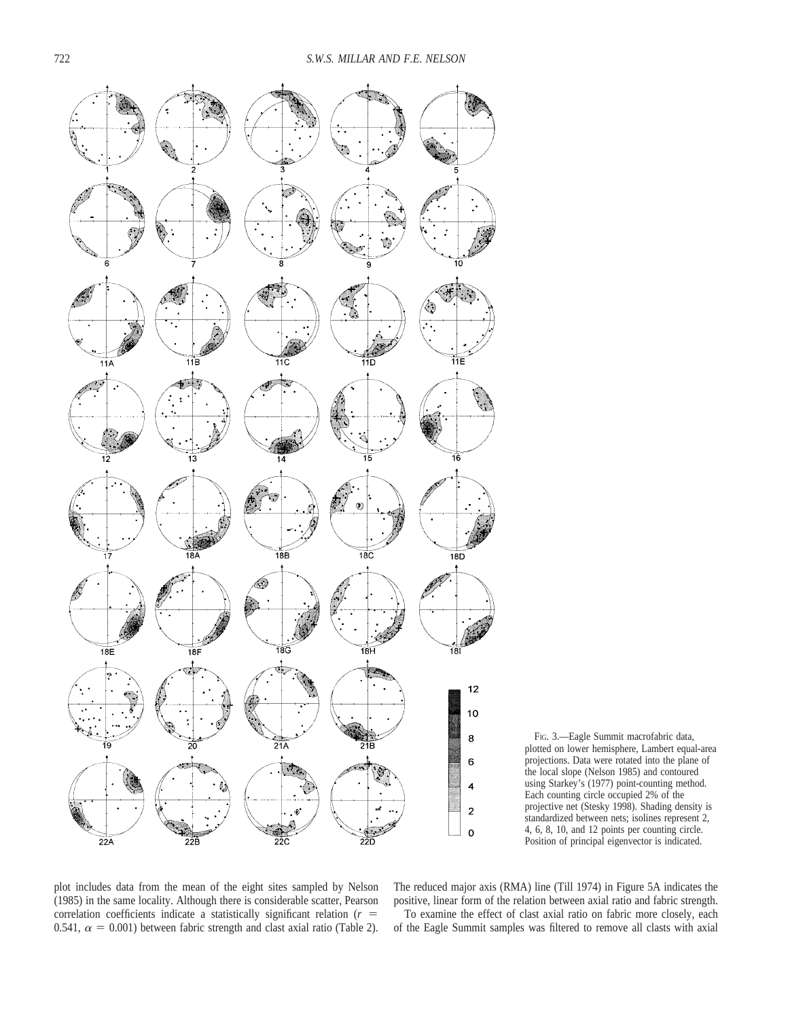



plot includes data from the mean of the eight sites sampled by Nelson (1985) in the same locality. Although there is considerable scatter, Pearson correlation coefficients indicate a statistically significant relation  $(r =$ 0.541,  $\alpha = 0.001$ ) between fabric strength and clast axial ratio (Table 2).

The reduced major axis (RMA) line (Till 1974) in Figure 5A indicates the positive, linear form of the relation between axial ratio and fabric strength. To examine the effect of clast axial ratio on fabric more closely, each of the Eagle Summit samples was filtered to remove all clasts with axial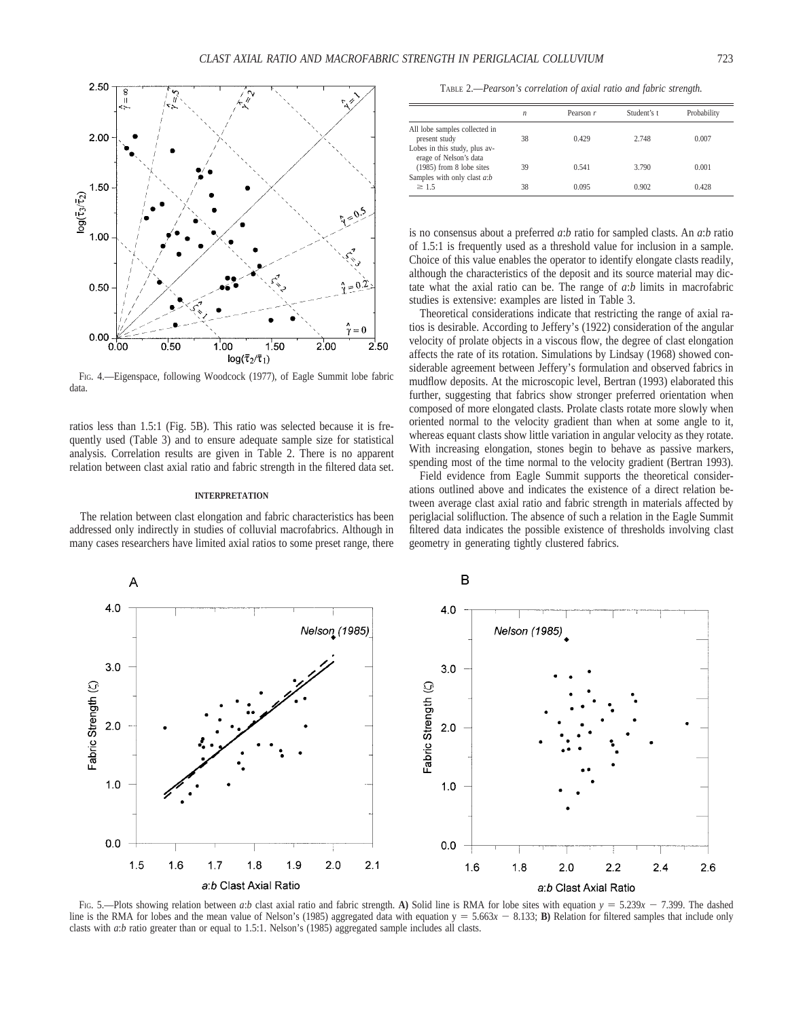

FIG. 4.—Eigenspace, following Woodcock (1977), of Eagle Summit lobe fabric data.

ratios less than 1.5:1 (Fig. 5B). This ratio was selected because it is frequently used (Table 3) and to ensure adequate sample size for statistical analysis. Correlation results are given in Table 2. There is no apparent relation between clast axial ratio and fabric strength in the filtered data set.

## **INTERPRETATION**

The relation between clast elongation and fabric characteristics has been addressed only indirectly in studies of colluvial macrofabrics. Although in many cases researchers have limited axial ratios to some preset range, there

TABLE 2.—*Pearson's correlation of axial ratio and fabric strength.*

|                                                           | $\mathfrak n$ | Pearson $r$ | Student's t | Probability |
|-----------------------------------------------------------|---------------|-------------|-------------|-------------|
| All lobe samples collected in<br>present study            | 38            | 0.429       | 2.748       | 0.007       |
| Lobes in this study, plus av-<br>erage of Nelson's data   |               |             |             |             |
| $(1985)$ from 8 lobe sites<br>Samples with only clast a:b | 39            | 0.541       | 3.790       | 0.001       |
| $\geq 1.5$                                                | 38            | 0.095       | 0.902       | 0.428       |

is no consensus about a preferred *a*:*b* ratio for sampled clasts. An *a*:*b* ratio of 1.5:1 is frequently used as a threshold value for inclusion in a sample. Choice of this value enables the operator to identify elongate clasts readily, although the characteristics of the deposit and its source material may dictate what the axial ratio can be. The range of *a*:*b* limits in macrofabric studies is extensive: examples are listed in Table 3.

Theoretical considerations indicate that restricting the range of axial ratios is desirable. According to Jeffery's (1922) consideration of the angular velocity of prolate objects in a viscous flow, the degree of clast elongation affects the rate of its rotation. Simulations by Lindsay (1968) showed considerable agreement between Jeffery's formulation and observed fabrics in mudflow deposits. At the microscopic level, Bertran (1993) elaborated this further, suggesting that fabrics show stronger preferred orientation when composed of more elongated clasts. Prolate clasts rotate more slowly when oriented normal to the velocity gradient than when at some angle to it, whereas equant clasts show little variation in angular velocity as they rotate. With increasing elongation, stones begin to behave as passive markers, spending most of the time normal to the velocity gradient (Bertran 1993).

Field evidence from Eagle Summit supports the theoretical considerations outlined above and indicates the existence of a direct relation between average clast axial ratio and fabric strength in materials affected by periglacial solifluction. The absence of such a relation in the Eagle Summit filtered data indicates the possible existence of thresholds involving clast geometry in generating tightly clustered fabrics.



FIG. 5.—Plots showing relation between *a*:*b* clast axial ratio and fabric strength. **A**) Solid line is RMA for lobe sites with equation  $y = 5.239x - 7.399$ . The dashed line is the RMA for lobes and the mean value of Nelson's (1985) aggregated data with equation  $y = 5.663x - 8.133$ ; **B**) Relation for filtered samples that include only clasts with *a*:*b* ratio greater than or equal to 1.5:1. Nelson's (1985) aggregated sample includes all clasts.